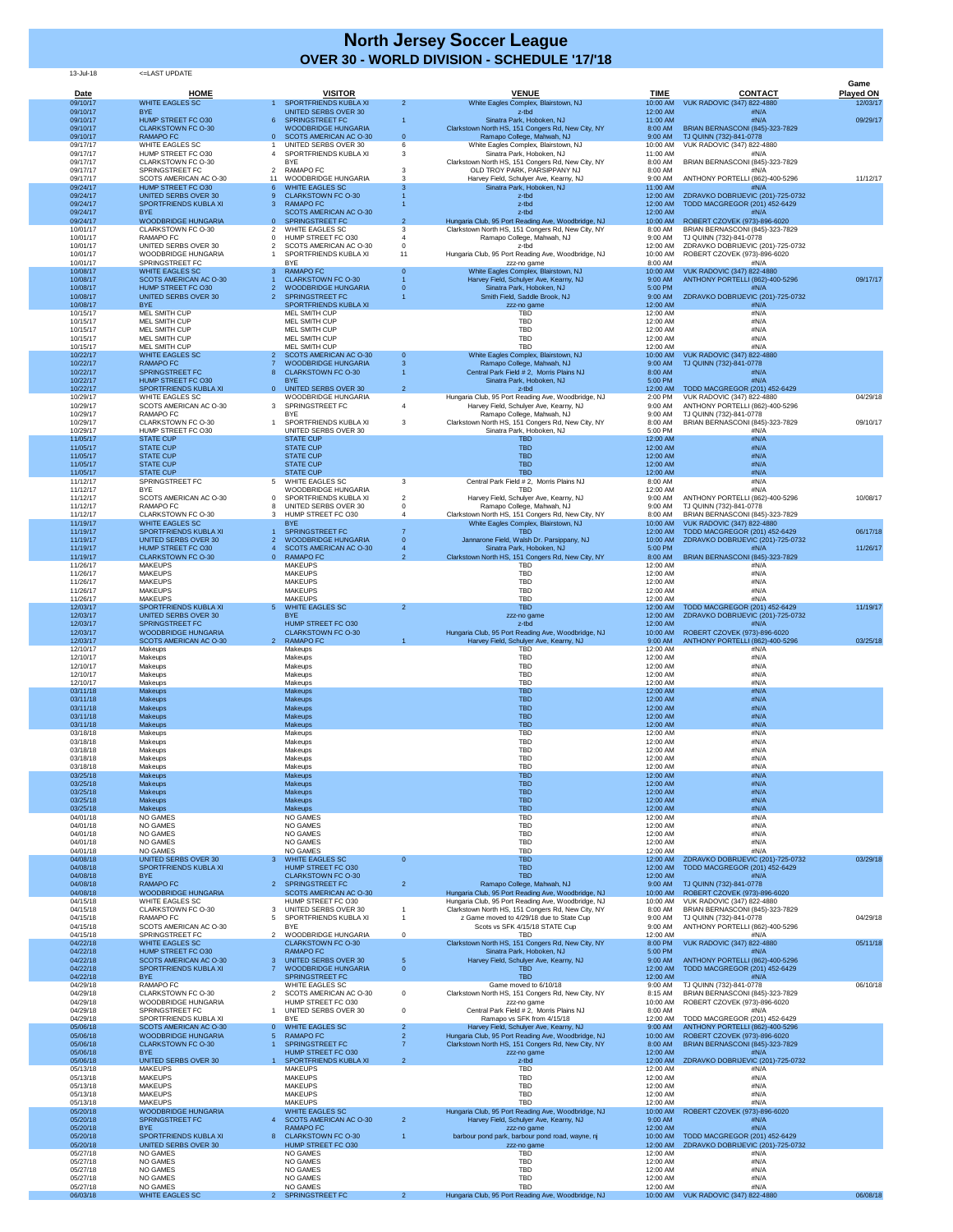## 13-Jul-18 <=LAST UPDATE

| <b>Date</b>          | <b>HOME</b>                                                 | <b>VISITOR</b>                                                         |                     | <b>VENUE</b>                                                                                             | <b>TIME</b>          | <b>CONTACT</b>                                                         | Game<br><b>Played ON</b> |
|----------------------|-------------------------------------------------------------|------------------------------------------------------------------------|---------------------|----------------------------------------------------------------------------------------------------------|----------------------|------------------------------------------------------------------------|--------------------------|
| 09/10/17<br>09/10/17 | <b>WHITE EAGLES SC</b><br><b>BYE</b>                        | SPORTFRIENDS KUBLA XI<br><b>UNITED SERBS OVER 30</b>                   | $\overline{2}$      | White Eagles Complex, Blairstown, NJ<br>z-tbd                                                            | 10:00 AM<br>12:00 AM | <b>VUK RADOVIC (347) 822-4880</b><br>#N/A                              | 12/03/17                 |
| 09/10/17<br>09/10/17 | HUMP STREET FC O30<br><b>CLARKSTOWN FC O-30</b>             | <b>SPRINGSTREET FC</b><br>6<br><b>WOODBRIDGE HUNGARIA</b>              |                     | Sinatra Park, Hoboken, NJ<br>Clarkstown North HS, 151 Congers Rd, New City, NY                           | 11:00 AM<br>8:00 AM  | #N/A<br>BRIAN BERNASCONI (845)-323-7829                                | 09/29/17                 |
| 09/10/17<br>09/17/17 | <b>RAMAPO FC</b><br><b>WHITE EAGLES SC</b>                  | SCOTS AMERICAN AC O-30<br>UNITED SERBS OVER 30                         | $\Omega$            | Ramapo College, Mahwah, NJ<br>White Eagles Complex, Blairstown, NJ                                       | 9:00 AM<br>10:00 AM  | TJ QUINN (732)-841-0778<br>VUK RADOVIC (347) 822-4880                  |                          |
| 09/17/17<br>09/17/17 | HUMP STREET FC O30<br><b>CLARKSTOWN FC O-30</b>             | SPORTFRIENDS KUBLA XI<br><b>BYE</b>                                    | 3                   | Sinatra Park, Hoboken, NJ<br>Clarkstown North HS, 151 Congers Rd, New City, NY                           | 11:00 AM<br>8:00 AM  | #N/A<br>BRIAN BERNASCONI (845)-323-7829                                |                          |
| 09/17/17<br>09/17/17 | <b>SPRINGSTREET FC</b><br>SCOTS AMERICAN AC O-30            | 2 RAMAPO FC<br><b>WOODBRIDGE HUNGARIA</b>                              |                     | OLD TROY PARK, PARSIPPANY NJ<br>Harvey Field, Schulyer Ave, Kearny, NJ                                   | 8:00 AM<br>9:00 AM   | #N/A<br>ANTHONY PORTELLI (862)-400-5296                                | 11/12/17                 |
| 09/24/17             | HUMP STREET FC O30                                          | <b>WHITE EAGLES SC</b>                                                 |                     | Sinatra Park, Hoboken, NJ                                                                                | 11:00 AM             | #N/A                                                                   |                          |
| 09/24/17<br>09/24/17 | <b>UNITED SERBS OVER 30</b><br>SPORTFRIENDS KUBLA XI        | <b>CLARKSTOWN FC O-30</b><br><b>RAMAPO FC</b>                          |                     | z-tbd<br>z-tbd                                                                                           | 12:00 AM<br>12:00 AM | ZDRAVKO DOBRIJEVIC (201)-725-0732<br>TODD MACGREGOR (201) 452-6429     |                          |
| 09/24/17<br>09/24/17 | <b>BYE</b><br><b>WOODBRIDGE HUNGARIA</b>                    | <b>SCOTS AMERICAN AC O-30</b><br><b>SPRINGSTREET FC</b><br>$0^{\circ}$ |                     | z-tbd<br>Hungaria Club, 95 Port Reading Ave, Woodbridge, NJ                                              | 12:00 AM<br>10:00 AM | #N/A<br>ROBERT CZOVEK (973)-896-6020                                   |                          |
| 10/01/17<br>10/01/17 | <b>CLARKSTOWN FC O-30</b><br><b>RAMAPO FC</b>               | <b>WHITE EAGLES SC</b><br>HUMP STREET FC O30                           |                     | Clarkstown North HS, 151 Congers Rd, New City, NY<br>Ramapo College, Mahwah, NJ                          | 8:00 AM<br>9:00 AM   | BRIAN BERNASCONI (845)-323-7829<br>TJ QUINN (732)-841-0778             |                          |
| 10/01/17<br>10/01/17 | <b>UNITED SERBS OVER 30</b><br><b>WOODBRIDGE HUNGARIA</b>   | SCOTS AMERICAN AC O-30<br>SPORTFRIENDS KUBLA XI                        | 11                  | z-tbd<br>Hungaria Club, 95 Port Reading Ave, Woodbridge, NJ                                              | 12:00 AM<br>10:00 AM | ZDRAVKO DOBRIJEVIC (201)-725-0732<br>ROBERT CZOVEK (973)-896-6020      |                          |
| 10/01/17<br>10/08/17 | <b>SPRINGSTREET FC</b><br><b>WHITE EAGLES SC</b>            | <b>BYE</b><br><b>RAMAPO FC</b><br>3.                                   |                     | zzz-no game<br>White Eagles Complex, Blairstown, NJ                                                      | 8:00 AM<br>10:00 AM  | #N/A<br><b>VUK RADOVIC (347) 822-4880</b>                              |                          |
| 10/08/17             | <b>SCOTS AMERICAN AC O-30</b>                               | <b>CLARKSTOWN FC O-30</b>                                              |                     | Harvey Field, Schulyer Ave, Kearny, NJ                                                                   | 9:00 AM              | ANTHONY PORTELLI (862)-400-5296                                        | 09/17/17                 |
| 10/08/17<br>10/08/17 | HUMP STREET FC O30<br><b>UNITED SERBS OVER 30</b>           | <b>WOODBRIDGE HUNGARIA</b><br><b>SPRINGSTREET FC</b>                   |                     | Sinatra Park, Hoboken, NJ<br>Smith Field, Saddle Brook, NJ                                               | 5:00 PM<br>9:00 AM   | #N/A<br>ZDRAVKO DOBRIJEVIC (201)-725-0732                              |                          |
| 10/08/17<br>10/15/17 | <b>BYE</b><br><b>MEL SMITH CUP</b>                          | SPORTFRIENDS KUBLA XI<br>MEL SMITH CUP                                 |                     | zzz-no game<br><b>TBD</b>                                                                                | 12:00 AM<br>12:00 AM | #N/A<br>#N/A                                                           |                          |
| 10/15/17<br>10/15/17 | <b>MEL SMITH CUP</b><br><b>MEL SMITH CUP</b>                | <b>MEL SMITH CUP</b><br><b>MEL SMITH CUP</b>                           |                     | <b>TBD</b><br><b>TBD</b>                                                                                 | 12:00 AM<br>12:00 AM | #N/A<br>#N/A                                                           |                          |
| 10/15/17<br>10/15/17 | <b>MEL SMITH CUP</b><br><b>MEL SMITH CUP</b>                | <b>MEL SMITH CUP</b><br>MEL SMITH CUP                                  |                     | <b>TBD</b><br><b>TBD</b>                                                                                 | 12:00 AM<br>12:00 AM | #N/A<br>#N/A                                                           |                          |
| 10/22/17             | <b>WHITE EAGLES SC</b><br><b>RAMAPO FC</b>                  | SCOTS AMERICAN AC O-30<br><b>WOODBRIDGE HUNGARIA</b>                   |                     | White Eagles Complex, Blairstown, NJ                                                                     | 10:00 AM             | <b>VUK RADOVIC (347) 822-4880</b>                                      |                          |
| 10/22/17<br>10/22/17 | <b>SPRINGSTREET FC</b>                                      | <b>CLARKSTOWN FC O-30</b><br>8                                         |                     | Ramapo College, Mahwah, NJ<br>Central Park Field # 2, Morris Plains NJ                                   | 9:00 AM<br>8:00 AM   | TJ QUINN (732)-841-0778<br>#N/A                                        |                          |
| 10/22/17<br>10/22/17 | HUMP STREET FC O30<br><b>SPORTFRIENDS KUBLA XI</b>          | <b>BYE</b><br>0 UNITED SERBS OVER 30                                   | $\overline{2}$      | Sinatra Park, Hoboken, NJ<br>z-tbd                                                                       | 5:00 PM<br>12:00 AM  | #N/A<br>TODD MACGREGOR (201) 452-6429                                  |                          |
| 10/29/17<br>10/29/17 | <b>WHITE EAGLES SC</b><br>SCOTS AMERICAN AC O-30            | WOODBRIDGE HUNGARIA<br>3 SPRINGSTREET FC                               |                     | Hungaria Club, 95 Port Reading Ave, Woodbridge, NJ<br>Harvey Field, Schulyer Ave, Kearny, NJ             | 2:00 PM<br>9:00 AM   | VUK RADOVIC (347) 822-4880<br>ANTHONY PORTELLI (862)-400-5296          | 04/29/18                 |
| 10/29/17<br>10/29/17 | <b>RAMAPO FC</b><br><b>CLARKSTOWN FC O-30</b>               | <b>BYE</b><br>SPORTFRIENDS KUBLA XI                                    | $\mathbf{3}$        | Ramapo College, Mahwah, NJ<br>Clarkstown North HS, 151 Congers Rd, New City, NY                          | 9:00 AM<br>8:00 AM   | TJ QUINN (732)-841-0778<br>BRIAN BERNASCONI (845)-323-7829             | 09/10/17                 |
| 10/29/17<br>11/05/17 | HUMP STREET FC O30<br><b>STATE CUP</b>                      | <b>UNITED SERBS OVER 30</b><br><b>STATE CUP</b>                        |                     | Sinatra Park, Hoboken, NJ<br><b>TBD</b>                                                                  | 5:00 PM<br>12:00 AM  | #N/A<br>#N/A                                                           |                          |
| 11/05/17             | <b>STATE CUP</b>                                            | <b>STATE CUP</b>                                                       |                     | <b>TBD</b>                                                                                               | 12:00 AM             | #N/A                                                                   |                          |
| 11/05/17<br>11/05/17 | <b>STATE CUP</b><br><b>STATE CUP</b>                        | <b>STATE CUP</b><br><b>STATE CUP</b>                                   |                     | <b>TBD</b><br><b>TBD</b>                                                                                 | 12:00 AM<br>12:00 AM | #N/A<br>#N/A                                                           |                          |
| 11/05/17<br>11/12/17 | <b>STATE CUP</b><br>SPRINGSTREET FC                         | <b>STATE CUP</b><br>5 WHITE EAGLES SC                                  |                     | <b>TBD</b><br>Central Park Field # 2, Morris Plains NJ                                                   | 12:00 AM<br>8:00 AM  | #N/A<br>#N/A                                                           |                          |
| 11/12/17<br>11/12/17 | <b>BYE</b><br>SCOTS AMERICAN AC O-30                        | WOODBRIDGE HUNGARIA<br>SPORTFRIENDS KUBLA XI                           |                     | <b>TBD</b><br>Harvey Field, Schulyer Ave, Kearny, NJ                                                     | 12:00 AM<br>9:00 AM  | #N/A<br>ANTHONY PORTELLI (862)-400-5296                                | 10/08/17                 |
| 11/12/17<br>11/12/17 | <b>RAMAPO FC</b><br><b>CLARKSTOWN FC O-30</b>               | UNITED SERBS OVER 30<br>3 HUMP STREET FC O30                           |                     | Ramapo College, Mahwah, NJ<br>Clarkstown North HS, 151 Congers Rd, New City, NY                          | 9:00 AM<br>8:00 AM   | TJ QUINN (732)-841-0778<br>BRIAN BERNASCONI (845)-323-7829             |                          |
| 11/19/17             | <b>WHITE EAGLES SC</b>                                      | <b>BYE</b>                                                             |                     | White Eagles Complex, Blairstown, NJ                                                                     | 10:00 AM             | <b>VUK RADOVIC (347) 822-4880</b>                                      |                          |
| 11/19/17<br>11/19/17 | SPORTFRIENDS KUBLA XI<br><b>UNITED SERBS OVER 30</b>        | <b>SPRINGSTREET FC</b><br><b>WOODBRIDGE HUNGARIA</b>                   |                     | <b>TBD</b><br>Jannarone Field, Walsh Dr. Parsippany, NJ                                                  | 12:00 AM<br>10:00 AM | TODD MACGREGOR (201) 452-6429<br>ZDRAVKO DOBRIJEVIC (201)-725-0732     | 06/17/18                 |
| 11/19/17<br>11/19/17 | HUMP STREET FC O30<br><b>CLARKSTOWN FC O-30</b>             | SCOTS AMERICAN AC O-30<br><b>RAMAPO FC</b><br>$\Omega$                 |                     | Sinatra Park, Hoboken, NJ<br>Clarkstown North HS, 151 Congers Rd, New City, NY                           | 5:00 PM<br>8:00 AM   | #N/A<br><b>BRIAN BERNASCONI (845)-323-7829</b>                         | 11/26/17                 |
| 11/26/17<br>11/26/17 | <b>MAKEUPS</b><br><b>MAKEUPS</b>                            | <b>MAKEUPS</b><br><b>MAKEUPS</b>                                       |                     | TBD<br><b>TBD</b>                                                                                        | 12:00 AM<br>12:00 AM | #N/A<br>#N/A                                                           |                          |
| 11/26/17             | <b>MAKEUPS</b>                                              | <b>MAKEUPS</b><br><b>MAKEUPS</b>                                       |                     | <b>TBD</b><br><b>TBD</b>                                                                                 | 12:00 AM             | #N/A<br>#N/A                                                           |                          |
| 11/26/17<br>11/26/17 | <b>MAKEUPS</b><br><b>MAKEUPS</b>                            | <b>MAKEUPS</b>                                                         |                     | <b>TBD</b>                                                                                               | 12:00 AM<br>12:00 AM | #N/A                                                                   |                          |
| 12/03/17<br>12/03/17 | SPORTFRIENDS KUBLA XI<br><b>UNITED SERBS OVER 30</b>        | 5 WHITE EAGLES SC<br><b>BYE</b>                                        | 2 <sup>1</sup>      | <b>TBD</b><br>zzz-no game                                                                                | 12:00 AM<br>12:00 AM | TODD MACGREGOR (201) 452-6429<br>ZDRAVKO DOBRIJEVIC (201)-725-0732     | 11/19/17                 |
| 12/03/17<br>12/03/17 | <b>SPRINGSTREET FC</b><br><b>WOODBRIDGE HUNGARIA</b>        | HUMP STREET FC O30<br><b>CLARKSTOWN FC O-30</b>                        |                     | z-tbd<br>Hungaria Club, 95 Port Reading Ave, Woodbridge, NJ                                              | 12:00 AM<br>10:00 AM | #N/A<br>ROBERT CZOVEK (973)-896-6020                                   |                          |
| 12/03/17<br>12/10/17 | SCOTS AMERICAN AC O-30<br>Makeups                           | 2 RAMAPO FC<br>Makeups                                                 |                     | Harvey Field, Schulyer Ave, Kearny, NJ<br><b>TBD</b>                                                     | 9:00 AM<br>12:00 AM  | ANTHONY PORTELLI (862)-400-5296<br>#N/A                                | 03/25/18                 |
| 12/10/17             | Makeups                                                     | Makeups                                                                |                     | <b>TBD</b>                                                                                               | 12:00 AM             | #N/A                                                                   |                          |
| 12/10/17<br>12/10/17 | Makeups<br>Makeups                                          | Makeups<br>Makeups                                                     |                     | <b>TBD</b><br><b>TBD</b>                                                                                 | 12:00 AM<br>12:00 AM | #N/A<br>#N/A                                                           |                          |
| 12/10/17<br>03/11/18 | Makeups<br><b>Makeups</b>                                   | Makeups<br><b>Makeups</b>                                              |                     | <b>TBD</b><br><b>TBD</b>                                                                                 | 12:00 AM<br>12:00 AM | #N/A<br>#N/A                                                           |                          |
| 03/11/18<br>03/11/18 | <b>Makeups</b><br><b>Makeups</b>                            | <b>Makeups</b><br><b>Makeups</b>                                       |                     | <b>TBD</b><br><b>TBD</b>                                                                                 | 12:00 AM<br>12:00 AM | #N/A<br>#N/A                                                           |                          |
| 03/11/18             | <b>Makeups</b>                                              | <b>Makeups</b>                                                         |                     | <b>TBD</b>                                                                                               | 12:00 AM             | #N/A                                                                   |                          |
| 03/11/18<br>03/18/18 | Makeups<br>Makeups                                          | <b>Makeups</b><br>Makeups                                              |                     | <b>TBD</b><br><b>TBD</b>                                                                                 | 12:00 AM<br>12:00 AM | #N/A<br>#N/A                                                           |                          |
| 03/18/18<br>03/18/18 | Makeups<br>Makeups                                          | Makeups<br>Makeups                                                     |                     | <b>TBD</b><br><b>TBD</b>                                                                                 | 12:00 AM<br>12:00 AM | #N/A<br>#N/A                                                           |                          |
| 03/18/18<br>03/18/18 | Makeups<br>Makeups                                          | Makeups<br>Makeups                                                     |                     | <b>TBD</b><br><b>TBD</b>                                                                                 | 12:00 AM<br>12:00 AM | #N/A<br>#N/A                                                           |                          |
| 03/25/18<br>03/25/18 | <b>Makeups</b><br><b>Makeups</b>                            | <b>Makeups</b><br><b>Makeups</b>                                       |                     | <b>TBD</b><br><b>TBD</b>                                                                                 | 12:00 AM<br>12:00 AM | #N/A<br>#N/A                                                           |                          |
| 03/25/18<br>03/25/18 | <b>Makeups</b><br><b>Makeups</b>                            | <b>Makeups</b>                                                         |                     | <b>TBD</b><br><b>TBD</b>                                                                                 | 12:00 AM<br>12:00 AM | #N/A<br>#N/A                                                           |                          |
| 03/25/18             | <b>Makeups</b>                                              | <b>Makeups</b><br><b>Makeups</b>                                       |                     | <b>TBD</b>                                                                                               | 12:00 AM             | #N/A                                                                   |                          |
| 04/01/18<br>04/01/18 | <b>NO GAMES</b><br><b>NO GAMES</b>                          | <b>NO GAMES</b><br><b>NO GAMES</b>                                     |                     | <b>TBD</b><br><b>TBD</b>                                                                                 | 12:00 AM<br>12:00 AM | #N/A<br>#N/A                                                           |                          |
| 04/01/18<br>04/01/18 | <b>NO GAMES</b><br><b>NO GAMES</b>                          | <b>NO GAMES</b><br><b>NO GAMES</b>                                     |                     | <b>TBD</b><br><b>TBD</b>                                                                                 | 12:00 AM<br>12:00 AM | #N/A<br>#N/A                                                           |                          |
| 04/01/18<br>04/08/18 | <b>NO GAMES</b><br><b>UNITED SERBS OVER 30</b>              | <b>NO GAMES</b><br>3 WHITE EAGLES SC                                   | $\overline{0}$      | <b>TBD</b><br><b>TBD</b>                                                                                 | 12:00 AM<br>12:00 AM | #N/A<br>ZDRAVKO DOBRIJEVIC (201)-725-0732                              | 03/29/18                 |
| 04/08/18<br>04/08/18 | SPORTFRIENDS KUBLA XI<br>BYE                                | HUMP STREET FC O30<br><b>CLARKSTOWN FC O-30</b>                        |                     | <b>TBD</b><br><b>TBD</b>                                                                                 | 12:00 AM<br>12:00 AM | TODD MACGREGOR (201) 452-6429<br>#N/A                                  |                          |
| 04/08/18<br>04/08/18 | <b>RAMAPO FC</b><br><b>WOODBRIDGE HUNGARIA</b>              | <b>SPRINGSTREET FC</b><br><b>SCOTS AMERICAN AC O-30</b>                | $\overline{2}$      | Ramapo College, Mahwah, NJ                                                                               | 9:00 AM              | TJ QUINN (732)-841-0778                                                |                          |
| 04/15/18             | <b>WHITE EAGLES SC</b>                                      | HUMP STREET FC O30                                                     |                     | Hungaria Club, 95 Port Reading Ave, Woodbridge, NJ<br>Hungaria Club, 95 Port Reading Ave, Woodbridge, NJ | 10:00 AM<br>10:00 AM | ROBERT CZOVEK (973)-896-6020<br><b>VUK RADOVIC (347) 822-4880</b>      |                          |
| 04/15/18<br>04/15/18 | <b>CLARKSTOWN FC O-30</b><br><b>RAMAPO FC</b>               | UNITED SERBS OVER 30<br>3<br>SPORTFRIENDS KUBLA XI                     |                     | Clarkstown North HS, 151 Congers Rd, New City, NY<br>z Game moved to 4/29/18 due to State Cup            | 8:00 AM<br>9:00 AM   | BRIAN BERNASCONI (845)-323-7829<br>TJ QUINN (732)-841-0778             | 04/29/18                 |
| 04/15/18<br>04/15/18 | SCOTS AMERICAN AC O-30<br>SPRINGSTREET FC                   | <b>BYE</b><br>2 WOODBRIDGE HUNGARIA                                    | $\mathbf 0$         | Scots vs SFK 4/15/18 STATE Cup<br><b>TBD</b>                                                             | 9:00 AM<br>12:00 AM  | ANTHONY PORTELLI (862)-400-5296<br>#N/A                                |                          |
| 04/22/18<br>04/22/18 | <b>WHITE EAGLES SC</b><br>HUMP STREET FC O30                | <b>CLARKSTOWN FC O-30</b><br><b>RAMAPO FC</b>                          |                     | Clarkstown North HS, 151 Congers Rd, New City, NY<br>Sinatra Park, Hoboken, NJ                           | 8:00 PM<br>5:00 PM   | <b>VUK RADOVIC (347) 822-4880</b><br>#N/A                              | 05/11/18                 |
| 04/22/18<br>04/22/18 | SCOTS AMERICAN AC O-30<br><b>SPORTFRIENDS KUBLA XI</b>      | <b>UNITED SERBS OVER 30</b><br><b>WOODBRIDGE HUNGARIA</b>              | 5<br>$\overline{0}$ | Harvey Field, Schulyer Ave, Kearny, NJ<br><b>TBD</b>                                                     | 9:00 AM<br>12:00 AM  | ANTHONY PORTELLI (862)-400-5296<br>TODD MACGREGOR (201) 452-6429       |                          |
| 04/22/18             | <b>BYE</b>                                                  | <b>SPRINGSTREET FC</b>                                                 |                     | <b>TBD</b>                                                                                               | 12:00 AM             | #N/A                                                                   |                          |
| 04/29/18<br>04/29/18 | RAMAPO FC<br><b>CLARKSTOWN FC O-30</b>                      | WHITE EAGLES SC<br>SCOTS AMERICAN AC O-30<br>2                         | $\mathbf{0}$        | Game moved to 6/10/18<br>Clarkstown North HS, 151 Congers Rd, New City, NY                               | 9:00 AM<br>8:15 AM   | TJ QUINN (732)-841-0778<br>BRIAN BERNASCONI (845)-323-7829             | 06/10/18                 |
| 04/29/18<br>04/29/18 | <b>WOODBRIDGE HUNGARIA</b><br>SPRINGSTREET FC               | HUMP STREET FC O30<br>UNITED SERBS OVER 30                             | $\mathbf{0}$        | zzz-no game<br>Central Park Field # 2, Morris Plains NJ                                                  | 10:00 AM<br>8:00 AM  | ROBERT CZOVEK (973)-896-6020<br>#N/A                                   |                          |
| 04/29/18<br>05/06/18 | SPORTFRIENDS KUBLA XI<br>SCOTS AMERICAN AC O-30             | <b>BYE</b><br>0 WHITE EAGLES SC                                        |                     | Ramapo vs SFK from 4/15/18<br>Harvey Field, Schulyer Ave, Kearny, NJ                                     | 12:00 AM<br>9:00 AM  | TODD MACGREGOR (201) 452-6429<br>ANTHONY PORTELLI (862)-400-5296       |                          |
| 05/06/18<br>05/06/18 | <b>WOODBRIDGE HUNGARIA</b><br><b>CLARKSTOWN FC O-30</b>     | <b>RAMAPO FC</b><br><b>SPRINGSTREET FC</b>                             |                     | Hungaria Club, 95 Port Reading Ave, Woodbridge, NJ<br>Clarkstown North HS, 151 Congers Rd, New City, NY  | 10:00 AM<br>8:00 AM  | ROBERT CZOVEK (973)-896-6020<br><b>BRIAN BERNASCONI (845)-323-7829</b> |                          |
| 05/06/18             | BYE                                                         | HUMP STREET FC O30                                                     |                     | zzz-no game                                                                                              | 12:00 AM             | #N/A                                                                   |                          |
| 05/06/18<br>05/13/18 | <b>UNITED SERBS OVER 30</b><br><b>MAKEUPS</b>               | SPORTFRIENDS KUBLA XI<br><b>MAKEUPS</b>                                | 2 <sup>2</sup>      | z-tbd<br><b>TBD</b>                                                                                      | 12:00 AM<br>12:00 AM | ZDRAVKO DOBRIJEVIC (201)-725-0732<br>#N/A                              |                          |
| 05/13/18<br>05/13/18 | <b>MAKEUPS</b><br><b>MAKEUPS</b>                            | <b>MAKEUPS</b><br><b>MAKEUPS</b>                                       |                     | <b>TBD</b><br><b>TBD</b>                                                                                 | 12:00 AM<br>12:00 AM | #N/A<br>#N/A                                                           |                          |
| 05/13/18<br>05/13/18 | <b>MAKEUPS</b><br><b>MAKEUPS</b>                            | <b>MAKEUPS</b><br><b>MAKEUPS</b>                                       |                     | <b>TBD</b><br><b>TBD</b>                                                                                 | 12:00 AM<br>12:00 AM | #N/A<br>#N/A                                                           |                          |
| 05/20/18<br>05/20/18 | <b>WOODBRIDGE HUNGARIA</b><br><b>SPRINGSTREET FC</b>        | <b>WHITE EAGLES SC</b><br><b>SCOTS AMERICAN AC O-30</b>                | $\overline{2}$      | Hungaria Club, 95 Port Reading Ave, Woodbridge, NJ<br>Harvey Field, Schulyer Ave, Kearny, NJ             | 10:00 AM<br>9:00 AM  | ROBERT CZOVEK (973)-896-6020<br>#N/A                                   |                          |
| 05/20/18             | <b>BYE</b>                                                  | <b>RAMAPO FC</b>                                                       |                     | zzz-no game                                                                                              | 12:00 AM             | #N/A                                                                   |                          |
| 05/20/18<br>05/20/18 | <b>SPORTFRIENDS KUBLA XI</b><br><b>UNITED SERBS OVER 30</b> | <b>CLARKSTOWN FC O-30</b><br>8<br>HUMP STREET FC O30                   |                     | barbour pond park, barbour pond road, wayne, nj<br>zzz-no game                                           | 10:00 AM<br>12:00 AM | TODD MACGREGOR (201) 452-6429<br>ZDRAVKO DOBRIJEVIC (201)-725-0732     |                          |
| 05/27/18<br>05/27/18 | <b>NO GAMES</b><br><b>NO GAMES</b>                          | <b>NO GAMES</b><br><b>NO GAMES</b>                                     |                     | <b>TBD</b><br><b>TBD</b>                                                                                 | 12:00 AM<br>12:00 AM | #N/A<br>#N/A                                                           |                          |
| 05/27/18<br>05/27/18 | <b>NO GAMES</b><br><b>NO GAMES</b>                          | <b>NO GAMES</b><br><b>NO GAMES</b>                                     |                     | <b>TBD</b><br><b>TBD</b>                                                                                 | 12:00 AM<br>12:00 AM | #N/A<br>#N/A                                                           |                          |
| 05/27/18<br>06/03/18 | <b>NO GAMES</b><br><b>WHITE EAGLES SC</b>                   | NO GAMES<br>2 SPRINGSTREET FC                                          | $\mathbf{2}$        | <b>TBD</b><br>Hungaria Club, 95 Port Reading Ave, Woodbridge, NJ                                         | 12:00 AM             | #N/A<br>10:00 AM VUK RADOVIC (347) 822-4880                            | 06/08/18                 |
|                      |                                                             |                                                                        |                     |                                                                                                          |                      |                                                                        |                          |

## **North Jersey Soccer League OVER 30 - WORLD DIVISION - SCHEDULE '17/'18**